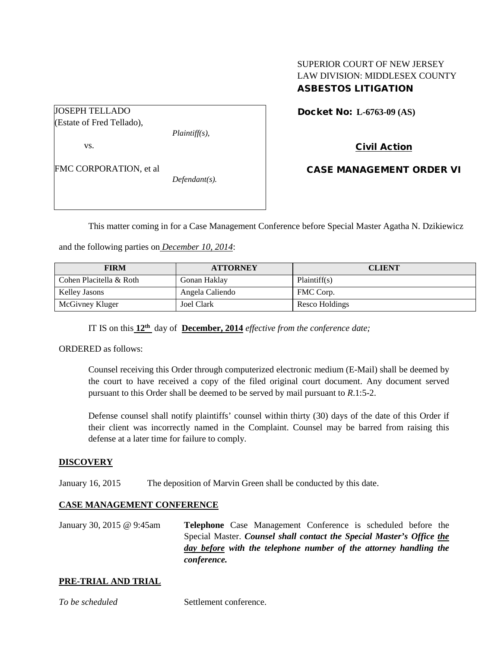## SUPERIOR COURT OF NEW JERSEY LAW DIVISION: MIDDLESEX COUNTY ASBESTOS LITIGATION

JOSEPH TELLADO (Estate of Fred Tellado), *Plaintiff(s),* vs. FMC CORPORATION, et al

*Defendant(s).*

Docket No: **L-6763-09 (AS)** 

Civil Action

CASE MANAGEMENT ORDER VI

This matter coming in for a Case Management Conference before Special Master Agatha N. Dzikiewicz

and the following parties on *December 10, 2014*:

| <b>FIRM</b>             | <b>ATTORNEY</b> | <b>CLIENT</b>  |
|-------------------------|-----------------|----------------|
| Cohen Placitella & Roth | Gonan Haklay    | Plaintiff(s)   |
| Kelley Jasons           | Angela Caliendo | FMC Corp.      |
| McGivney Kluger         | Joel Clark      | Resco Holdings |

IT IS on this **12th** day of **December, 2014** *effective from the conference date;*

ORDERED as follows:

Counsel receiving this Order through computerized electronic medium (E-Mail) shall be deemed by the court to have received a copy of the filed original court document. Any document served pursuant to this Order shall be deemed to be served by mail pursuant to *R*.1:5-2.

Defense counsel shall notify plaintiffs' counsel within thirty (30) days of the date of this Order if their client was incorrectly named in the Complaint. Counsel may be barred from raising this defense at a later time for failure to comply.

### **DISCOVERY**

January 16, 2015 The deposition of Marvin Green shall be conducted by this date.

### **CASE MANAGEMENT CONFERENCE**

January 30, 2015 @ 9:45am **Telephone** Case Management Conference is scheduled before the Special Master. *Counsel shall contact the Special Master's Office the day before with the telephone number of the attorney handling the conference.*

#### **PRE-TRIAL AND TRIAL**

*To be scheduled* Settlement conference.